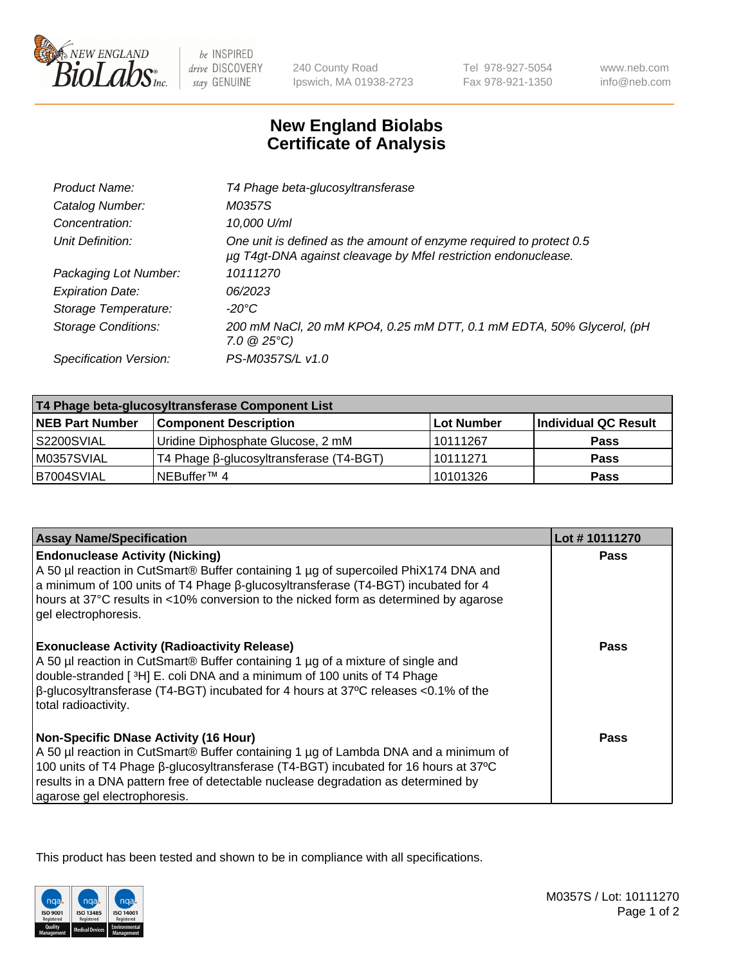

 $be$  INSPIRED drive DISCOVERY stay GENUINE

240 County Road Ipswich, MA 01938-2723 Tel 978-927-5054 Fax 978-921-1350 www.neb.com info@neb.com

## **New England Biolabs Certificate of Analysis**

| T4 Phage beta-glucosyltransferase                                                                                                     |
|---------------------------------------------------------------------------------------------------------------------------------------|
| M0357S                                                                                                                                |
| 10,000 U/ml                                                                                                                           |
| One unit is defined as the amount of enzyme required to protect 0.5<br>µg T4gt-DNA against cleavage by Mfel restriction endonuclease. |
| 10111270                                                                                                                              |
| 06/2023                                                                                                                               |
| -20°C                                                                                                                                 |
| 200 mM NaCl, 20 mM KPO4, 0.25 mM DTT, 0.1 mM EDTA, 50% Glycerol, (pH<br>$7.0 \ @ 25^{\circ}C$                                         |
| PS-M0357S/L v1.0                                                                                                                      |
|                                                                                                                                       |

| T4 Phage beta-glucosyltransferase Component List |                                         |            |                      |  |
|--------------------------------------------------|-----------------------------------------|------------|----------------------|--|
| <b>NEB Part Number</b>                           | <b>Component Description</b>            | Lot Number | Individual QC Result |  |
| S2200SVIAL                                       | Uridine Diphosphate Glucose, 2 mM       | 10111267   | <b>Pass</b>          |  |
| M0357SVIAL                                       | T4 Phage β-glucosyltransferase (T4-BGT) | 10111271   | <b>Pass</b>          |  |
| B7004SVIAL                                       | NEBuffer <sup>™</sup> 4                 | 10101326   | Pass                 |  |

| <b>Assay Name/Specification</b>                                                                                                                                                                                                                                                                                                                     | Lot #10111270 |
|-----------------------------------------------------------------------------------------------------------------------------------------------------------------------------------------------------------------------------------------------------------------------------------------------------------------------------------------------------|---------------|
| <b>Endonuclease Activity (Nicking)</b><br>A 50 µl reaction in CutSmart® Buffer containing 1 µg of supercoiled PhiX174 DNA and<br>a minimum of 100 units of T4 Phage β-glucosyltransferase (T4-BGT) incubated for 4<br>hours at 37°C results in <10% conversion to the nicked form as determined by agarose<br>gel electrophoresis.                  | <b>Pass</b>   |
| <b>Exonuclease Activity (Radioactivity Release)</b><br>A 50 µl reaction in CutSmart® Buffer containing 1 µg of a mixture of single and<br>double-stranded [ <sup>3</sup> H] E. coli DNA and a minimum of 100 units of T4 Phage<br>$\beta$ -glucosyltransferase (T4-BGT) incubated for 4 hours at 37°C releases <0.1% of the<br>total radioactivity. | Pass          |
| <b>Non-Specific DNase Activity (16 Hour)</b><br>A 50 µl reaction in CutSmart® Buffer containing 1 µg of Lambda DNA and a minimum of<br>100 units of T4 Phage β-glucosyltransferase (T4-BGT) incubated for 16 hours at 37°C<br>results in a DNA pattern free of detectable nuclease degradation as determined by<br>agarose gel electrophoresis.     | Pass          |

This product has been tested and shown to be in compliance with all specifications.